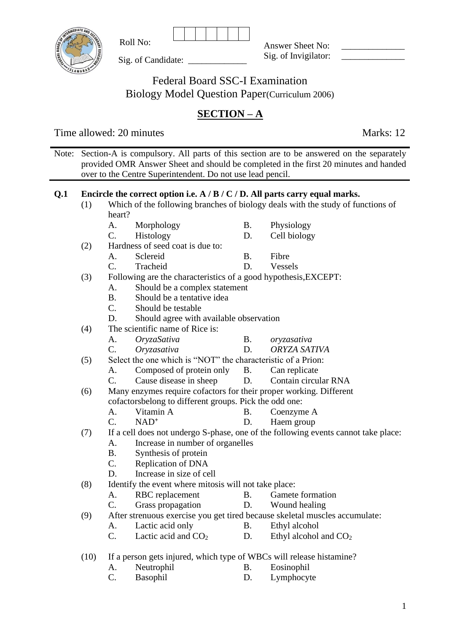

Sig. of Candidate: \_

Roll No:

Answer Sheet No: Sig. of Invigilator:

Federal Board SSC-I Examination Biology Model Question Paper(Curriculum 2006)

# **SECTION – A**

Time allowed: 20 minutes Marks: 12

Note: Section-A is compulsory. All parts of this section are to be answered on the separately provided OMR Answer Sheet and should be completed in the first 20 minutes and handed over to the Centre Superintendent. Do not use lead pencil.

# **Q.1 Encircle the correct option i.e. A / B / C / D. All parts carry equal marks.**

(1) Which of the following branches of biology deals with the study of functions of heart?

| Morphology | Physiology          |
|------------|---------------------|
|            | $\sim$ 11 1 $\cdot$ |

- C. Histology D. Cell biology (2) Hardness of seed coat is due to:
	- A. Sclereid B. Fibre
	- C. Tracheid D. Vessels
- (3) Following are the characteristics of a good hypothesis,EXCEPT:
	- A. Should be a complex statement
	- B. Should be a tentative idea
	- C. Should be testable
	- D. Should agree with available observation
- (4) The scientific name of Rice is:
	- A. *OryzaSativa* B. *oryzasativa*
	- C. *Oryzasativa* D. *ORYZA SATIVA*
- (5) Select the one which is "NOT" the characteristic of a Prion:
	- A. Composed of protein only B. Can replicate
	- C. Cause disease in sheep D. Contain circular RNA
- (6) Many enzymes require cofactors for their proper working. Different cofactorsbelong to different groups. Pick the odd one:
	- A. Vitamin A B. Coenzyme A
	- C. NAD**<sup>+</sup>** D. Haem group

(7) If a cell does not undergo S-phase, one of the following events cannot take place:

- A. Increase in number of organelles
- B. Synthesis of protein
- C. Replication of DNA
- D. Increase in size of cell
- (8) Identify the event where mitosis will not take place:
	- A. RBC replacement B. Gamete formation
	- C. Grass propagation D. Wound healing
- (9) After strenuous exercise you get tired because skeletal muscles accumulate:
	- A. Lactic acid only B. Ethyl alcohol
	- C. Lactic acid and  $CO<sub>2</sub>$  D. Ethyl alcohol and  $CO<sub>2</sub>$

(10) If a person gets injured, which type of WBCs will release histamine?

- A. Neutrophil B. Eosinophil
- C. Basophil D. Lymphocyte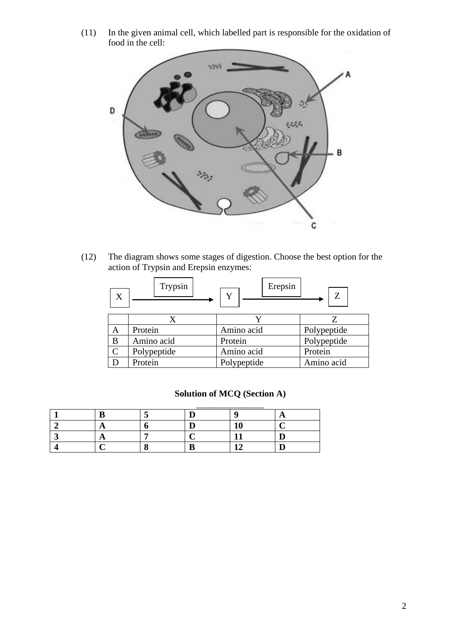(11) In the given animal cell, which labelled part is responsible for the oxidation of food in the cell:



(12) The diagram shows some stages of digestion. Choose the best option for the action of Trypsin and Erepsin enzymes:

| X | Trypsin     | Erepsin<br>Y | Z           |
|---|-------------|--------------|-------------|
|   |             |              |             |
| Α | Protein     | Amino acid   | Polypeptide |
| B | Amino acid  | Protein      | Polypeptide |
| Ċ | Polypeptide | Amino acid   | Protein     |
|   | Protein     | Polypeptide  | Amino acid  |

| <b>Solution of MCQ (Section A)</b> |  |
|------------------------------------|--|
|------------------------------------|--|

|  | ∽ |  |
|--|---|--|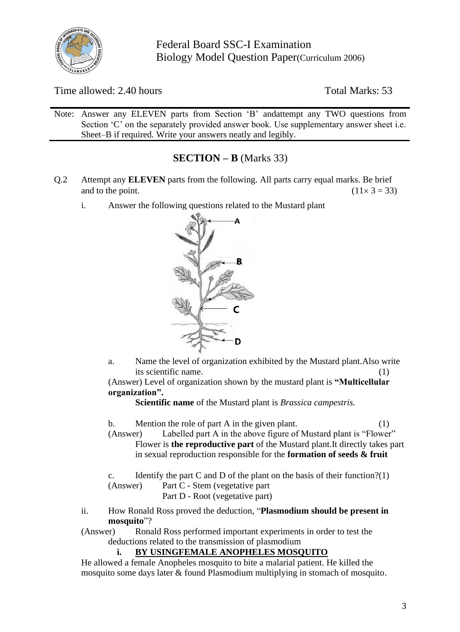

Time allowed: 2.40 hours Total Marks: 53

Note: Answer any ELEVEN parts from Section 'B' andattempt any TWO questions from Section 'C' on the separately provided answer book. Use supplementary answer sheet i.e. Sheet–B if required. Write your answers neatly and legibly.

# **SECTION – B** (Marks 33)

- Q.2 Attempt any **ELEVEN** parts from the following. All parts carry equal marks. Be brief and to the point. (11  $\times$  3 = 33)
	- i. Answer the following questions related to the Mustard plant



a. Name the level of organization exhibited by the Mustard plant.Also write its scientific name. (1)

(Answer) Level of organization shown by the mustard plant is **"Multicellular organization".**

**Scientific name** of the Mustard plant is *Brassica campestris.*

- b. Mention the role of part A in the given plant. (1)
- (Answer) Labelled part A in the above figure of Mustard plant is "Flower" Flower is **the reproductive part** of the Mustard plant.It directly takes part in sexual reproduction responsible for the **formation of seeds & fruit**

c. Identify the part C and D of the plant on the basis of their function?(1) (Answer) Part C - Stem (vegetative part

Part D - Root (vegetative part)

ii. How Ronald Ross proved the deduction, "**Plasmodium should be present in mosquito**"?

(Answer) Ronald Ross performed important experiments in order to test the deductions related to the transmission of plasmodium

### **i. BY USINGFEMALE ANOPHELES MOSQUITO**

He allowed a female Anopheles mosquito to bite a malarial patient. He killed the mosquito some days later & found Plasmodium multiplying in stomach of mosquito.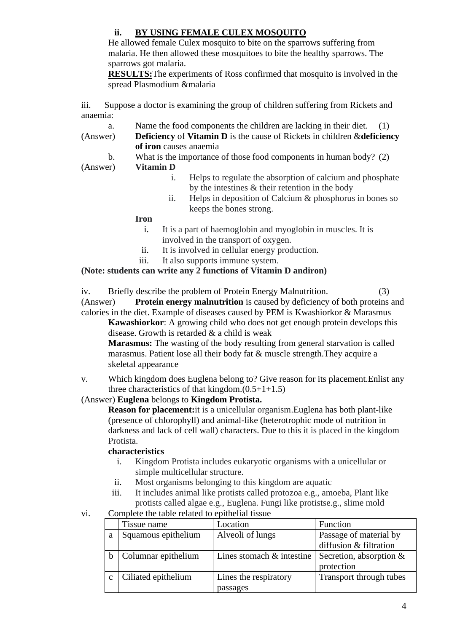# **ii. BY USING FEMALE CULEX MOSQUITO**

He allowed female Culex mosquito to bite on the sparrows suffering from malaria. He then allowed these mosquitoes to bite the healthy sparrows. The sparrows got malaria.

**RESULTS:**The experiments of Ross confirmed that mosquito is involved in the spread Plasmodium &malaria

iii. Suppose a doctor is examining the group of children suffering from Rickets and anaemia:

- a. Name the food components the children are lacking in their diet. (1)
- (Answer) **Deficiency** of **Vitamin D** is the cause of Rickets in children &**deficiency of iron** causes anaemia
	- b. What is the importance of those food components in human body? (2)

(Answer) **Vitamin D**

- i. Helps to regulate the absorption of calcium and phosphate by the intestines & their retention in the body
- ii. Helps in deposition of Calcium & phosphorus in bones so keeps the bones strong.

#### **Iron**

- i. It is a part of haemoglobin and myoglobin in muscles. It is involved in the transport of oxygen.
- ii. It is involved in cellular energy production.
- iii. It also supports immune system.

### **(Note: students can write any 2 functions of Vitamin D andiron)**

iv. Briefly describe the problem of Protein Energy Malnutrition. (3)

(Answer) **Protein energy malnutrition** is caused by deficiency of both proteins and calories in the diet. Example of diseases caused by PEM is Kwashiorkor & Marasmus

**Kawashiorkor**: A growing child who does not get enough protein develops this disease. Growth is retarded & a child is weak

**Marasmus:** The wasting of the body resulting from general starvation is called marasmus. Patient lose all their body fat & muscle strength.They acquire a skeletal appearance

v. Which kingdom does Euglena belong to? Give reason for its placement.Enlist any three characteristics of that kingdom. $(0.5+1+1.5)$ 

### (Answer) **Euglena** belongs to **Kingdom Protista.**

**Reason for placement:**it is a unicellular organism.Euglena has both plant-like (presence of chlorophyll) and animal-like (heterotrophic mode of nutrition in darkness and lack of cell wall) characters. Due to this it is placed in the kingdom Protista.

### **characteristics**

- i. Kingdom Protista includes eukaryotic organisms with a unicellular or simple multicellular structure.
- ii. Most organisms belonging to this kingdom are aquatic
- iii. It includes animal like protists called protozoa e.g., amoeba, Plant like protists called algae e.g., Euglena. Fungi like protistse.g., slime mold
- vi. Complete the table related to epithelial tissue

| Tissue name         | Location                     | Function                  |
|---------------------|------------------------------|---------------------------|
| Squamous epithelium | Alveoli of lungs             | Passage of material by    |
|                     |                              | diffusion & filtration    |
| Columnar epithelium | Lines stomach $\&$ intestine | Secretion, absorption $&$ |
|                     |                              | protection                |
| Ciliated epithelium | Lines the respiratory        | Transport through tubes   |
|                     | passages                     |                           |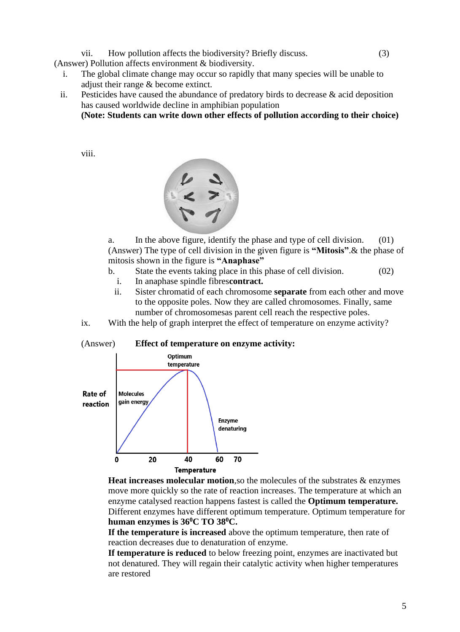vii. How pollution affects the biodiversity? Briefly discuss. (3)

(Answer) Pollution affects environment & biodiversity.

- i. The global climate change may occur so rapidly that many species will be unable to adjust their range & become extinct.
- ii. Pesticides have caused the abundance of predatory birds to decrease  $\&$  acid deposition has caused worldwide decline in amphibian population

**(Note: Students can write down other effects of pollution according to their choice)**

viii.



a. In the above figure, identify the phase and type of cell division. (01) (Answer) The type of cell division in the given figure is **"Mitosis"**.& the phase of mitosis shown in the figure is **"Anaphase"**

- b. State the events taking place in this phase of cell division. (02)
	- i. In anaphase spindle fibres**contract.**
	- ii. Sister chromatid of each chromosome **separate** from each other and move to the opposite poles. Now they are called chromosomes. Finally, same number of chromosomesas parent cell reach the respective poles.
- ix. With the help of graph interpret the effect of temperature on enzyme activity?

#### (Answer) **Effect of temperature on enzyme activity:**



**Heat increases molecular motion**,so the molecules of the substrates & enzymes move more quickly so the rate of reaction increases. The temperature at which an enzyme catalysed reaction happens fastest is called the **Optimum temperature.**  Different enzymes have different optimum temperature. Optimum temperature for **human enzymes is 36<sup>0</sup>C TO 38<sup>0</sup>C.**

**If the temperature is increased** above the optimum temperature, then rate of reaction decreases due to denaturation of enzyme.

**If temperature is reduced** to below freezing point, enzymes are inactivated but not denatured. They will regain their catalytic activity when higher temperatures are restored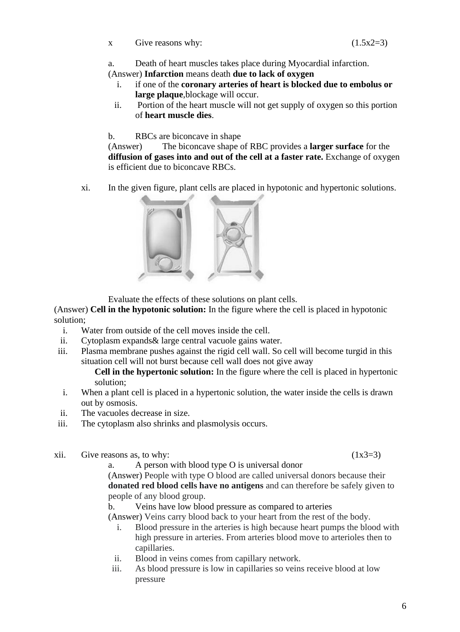a. Death of heart muscles takes place during Myocardial infarction.

(Answer) **Infarction** means death **due to lack of oxygen**

- i. if one of the **coronary arteries of heart is blocked due to embolus or large plaque**,blockage will occur.
- ii. Portion of the heart muscle will not get supply of oxygen so this portion of **heart muscle dies**.
- b. RBCs are biconcave in shape

(Answer) The biconcave shape of RBC provides a **larger surface** for the **diffusion of gases into and out of the cell at a faster rate.** Exchange of oxygen is efficient due to biconcave RBCs.

xi. In the given figure, plant cells are placed in hypotonic and hypertonic solutions.



Evaluate the effects of these solutions on plant cells.

(Answer) **Cell in the hypotonic solution:** In the figure where the cell is placed in hypotonic solution;

- i. Water from outside of the cell moves inside the cell.
- ii. Cytoplasm expands& large central vacuole gains water.
- iii. Plasma membrane pushes against the rigid cell wall. So cell will become turgid in this situation cell will not burst because cell wall does not give away

**Cell in the hypertonic solution:** In the figure where the cell is placed in hypertonic solution;

- i. When a plant cell is placed in a hypertonic solution, the water inside the cells is drawn out by osmosis.
- ii. The vacuoles decrease in size.
- iii. The cytoplasm also shrinks and plasmolysis occurs.
- xii. Give reasons as, to why:  $(1x3=3)$

a. A person with blood type O is universal donor

(Answer) People with type O blood are called universal donors because their **donated red blood cells have no antigens** and can therefore be safely given to people of any blood group.

b. Veins have low blood pressure as compared to arteries

(Answer) Veins carry blood back to your heart from the rest of the body.

- i. Blood pressure in the arteries is high because heart pumps the blood with high pressure in arteries. From arteries blood move to arterioles then to capillaries.
- ii. Blood in veins comes from capillary network.
- iii. As blood pressure is low in capillaries so veins receive blood at low pressure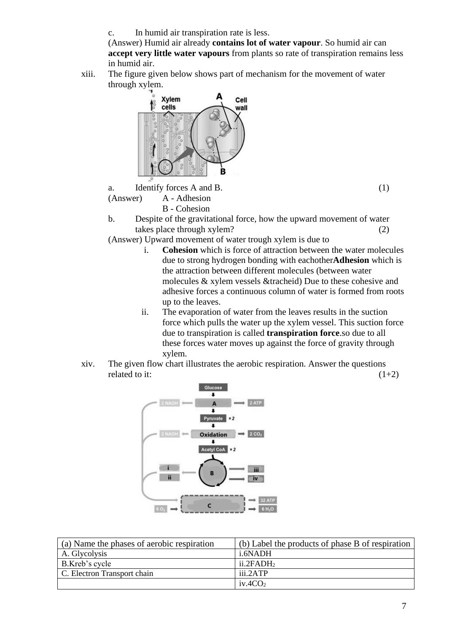c. In humid air transpiration rate is less.

(Answer) Humid air already **contains lot of water vapour**. So humid air can **accept very little water vapours** from plants so rate of transpiration remains less in humid air.

xiii. The figure given below shows part of mechanism for the movement of water through xylem.



a. Identify forces A and B. (1) (Answer) A - Adhesion

B - Cohesion

b. Despite of the gravitational force, how the upward movement of water takes place through xylem? (2)

(Answer) Upward movement of water trough xylem is due to

- i. **Cohesion** which is force of attraction between the water molecules due to strong hydrogen bonding with eachother**Adhesion** which is the attraction between different molecules (between water molecules & xylem vessels &tracheid) Due to these cohesive and adhesive forces a continuous column of water is formed from roots up to the leaves.
- ii. The evaporation of water from the leaves results in the suction force which pulls the water up the xylem vessel. This suction force due to transpiration is called **transpiration force**.so due to all these forces water moves up against the force of gravity through xylem.
- xiv. The given flow chart illustrates the aerobic respiration. Answer the questions related to it:  $(1+2)$



| (a) Name the phases of aerobic respiration | (b) Label the products of phase B of respiration |
|--------------------------------------------|--------------------------------------------------|
| A. Glycolysis                              | i.6NADH                                          |
| B.Kreb's cycle                             | $ii.2$ FAD $H2$                                  |
| C. Electron Transport chain                | iii.2ATP                                         |
|                                            | iv.4CO <sub>2</sub>                              |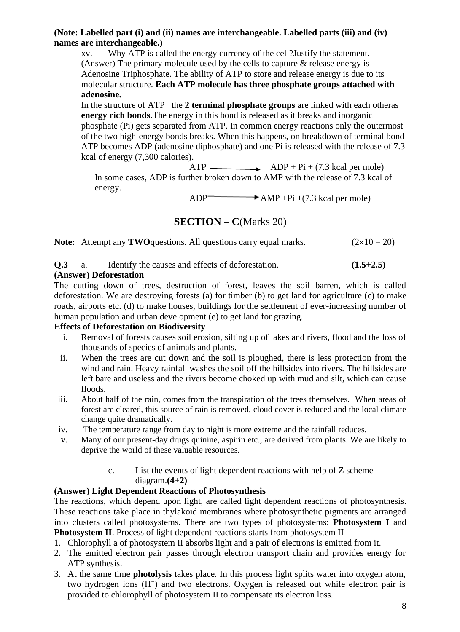### **(Note: Labelled part (i) and (ii) names are interchangeable. Labelled parts (iii) and (iv) names are interchangeable.)**

xv. Why ATP is called the energy currency of the cell?Justify the statement. (Answer) The primary molecule used by the cells to capture & release energy is Adenosine Triphosphate. The ability of ATP to store and release energy is due to its molecular structure. **Each ATP molecule has three phosphate groups attached with adenosine.**

In the structure of ATP the 2 terminal phosphate groups are linked with each otheras **energy rich bonds**.The energy in this bond is released as it breaks and inorganic phosphate (Pi) gets separated from ATP. In common energy reactions only the outermost of the two high-energy bonds breaks. When this happens, on breakdown of terminal bond ATP becomes ADP (adenosine diphosphate) and one Pi is released with the release of 7.3 kcal of energy (7,300 calories).

 $ATP$   $\longrightarrow$   $ADP + Pi + (7.3 \text{ kcal per mole})$ In some cases, ADP is further broken down to AMP with the release of 7.3 kcal of energy.

 $ADP$   $\longrightarrow$   $AMP +Pi + (7.3 \text{ kcal per mole})$ 

**SECTION – C**(Marks 20)

**Note:** Attempt any **TWO** questions. All questions carry equal marks.  $(2 \times 10 = 20)$ 

**Q.3** a. Identify the causes and effects of deforestation. **(1.5+2.5)**

### **(Answer) Deforestation**

The cutting down of trees, destruction of forest, leaves the soil barren, which is called deforestation. We are destroying forests (a) for timber (b) to get land for agriculture (c) to make roads, airports etc. (d) to make houses, buildings for the settlement of ever-increasing number of human population and urban development (e) to get land for grazing.

### **Effects of Deforestation on Biodiversity**

- i. Removal of forests causes soil erosion, silting up of lakes and rivers, flood and the loss of thousands of species of animals and plants.
- ii. When the trees are cut down and the soil is ploughed, there is less protection from the wind and rain. Heavy rainfall washes the soil off the hillsides into rivers. The hillsides are left bare and useless and the rivers become choked up with mud and silt, which can cause floods.
- iii. About half of the rain, comes from the transpiration of the trees themselves. When areas of forest are cleared, this source of rain is removed, cloud cover is reduced and the local climate change quite dramatically.
- iv. The temperature range from day to night is more extreme and the rainfall reduces.
- v. Many of our present-day drugs quinine, aspirin etc., are derived from plants. We are likely to deprive the world of these valuable resources.
	- c. List the events of light dependent reactions with help of Z scheme diagram.**(4+2)**

### **(Answer) Light Dependent Reactions of Photosynthesis**

The reactions, which depend upon light, are called light dependent reactions of photosynthesis. These reactions take place in thylakoid membranes where photosynthetic pigments are arranged into clusters called photosystems. There are two types of photosystems: **Photosystem I** and **Photosystem II**. Process of light dependent reactions starts from photosystem II

- 1. Chlorophyll a of photosystem II absorbs light and a pair of electrons is emitted from it.
- 2. The emitted electron pair passes through electron transport chain and provides energy for ATP synthesis.
- 3. At the same time **photolysis** takes place. In this process light splits water into oxygen atom, two hydrogen ions  $(H^+)$  and two electrons. Oxygen is released out while electron pair is provided to chlorophyll of photosystem II to compensate its electron loss.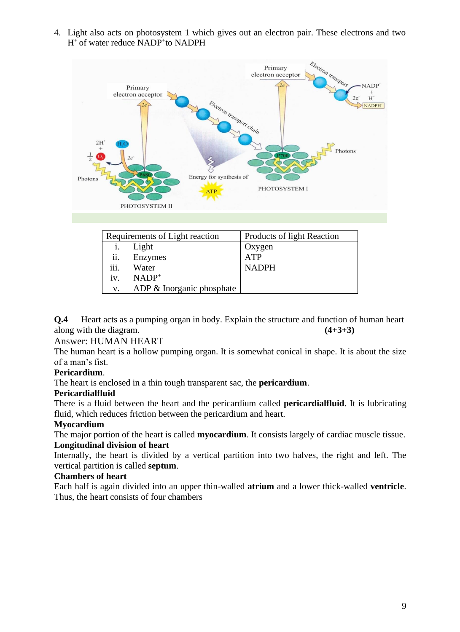4. Light also acts on photosystem 1 which gives out an electron pair. These electrons and two H<sup>+</sup> of water reduce NADP<sup>+</sup>to NADPH



| Requirements of Light reaction |                           | Products of light Reaction |  |
|--------------------------------|---------------------------|----------------------------|--|
|                                | Light                     | Oxygen                     |  |
| ii.                            | Enzymes                   | <b>ATP</b>                 |  |
| iii.                           | Water                     | <b>NADPH</b>               |  |
| 1V <sub>1</sub>                | $NADP+$                   |                            |  |
| V.                             | ADP & Inorganic phosphate |                            |  |

**Q.4** Heart acts as a pumping organ in body. Explain the structure and function of human heart along with the diagram. **(4+3+3)**

### Answer: HUMAN HEART

The human heart is a hollow pumping organ. It is somewhat conical in shape. It is about the size of a man's fist.

### **Pericardium**.

The heart is enclosed in a thin tough transparent sac, the **pericardium**.

### **Pericardialfluid**

There is a fluid between the heart and the pericardium called **pericardialfluid**. It is lubricating fluid, which reduces friction between the pericardium and heart.

### **Myocardium**

The major portion of the heart is called **myocardium**. It consists largely of cardiac muscle tissue. **Longitudinal division of heart**

Internally, the heart is divided by a vertical partition into two halves, the right and left. The vertical partition is called **septum**.

# **Chambers of heart**

Each half is again divided into an upper thin-walled **atrium** and a lower thick-walled **ventricle**. Thus, the heart consists of four chambers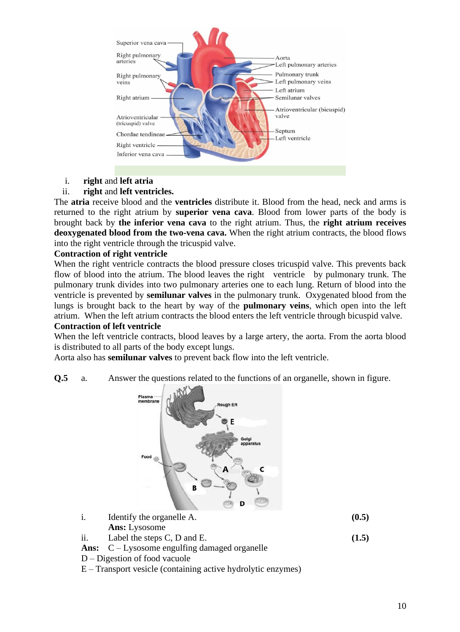

i. **right** and **left atria**

#### ii. **right** and **left ventricles.**

The **atria** receive blood and the **ventricles** distribute it. Blood from the head, neck and arms is returned to the right atrium by **superior vena cava**. Blood from lower parts of the body is brought back by **the inferior vena cava** to the right atrium. Thus, the **right atrium receives deoxygenated blood from the two-vena cava.** When the right atrium contracts, the blood flows into the right ventricle through the tricuspid valve.

#### **Contraction of right ventricle**

When the right ventricle contracts the blood pressure closes tricuspid valve. This prevents back flow of blood into the atrium. The blood leaves the right ventricle by pulmonary trunk. The pulmonary trunk divides into two pulmonary arteries one to each lung. Return of blood into the ventricle is prevented by **semilunar valves** in the pulmonary trunk. Oxygenated blood from the lungs is brought back to the heart by way of the **pulmonary veins**, which open into the left atrium. When the left atrium contracts the blood enters the left ventricle through bicuspid valve. **Contraction of left ventricle**

When the left ventricle contracts, blood leaves by a large artery, the aorta. From the aorta blood is distributed to all parts of the body except lungs.

Aorta also has **semilunar valves** to prevent back flow into the left ventricle.

**Q.5** a. Answer the questions related to the functions of an organelle, shown in figure.



|     | Identify the organelle A.                                    | (0.5) |
|-----|--------------------------------------------------------------|-------|
|     | <b>Ans:</b> Lysosome                                         |       |
| ii. | Label the steps C, D and E.                                  | (1.5) |
|     | <b>Ans:</b> $C - Lysosome$ <i>equiling damaged organelle</i> |       |

- D Digestion of food vacuole
- E Transport vesicle (containing active hydrolytic enzymes)